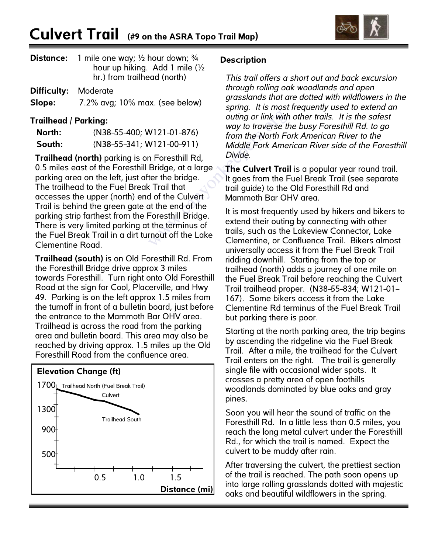

| <b>Distance:</b> 1 mile one way; $\frac{1}{2}$ hour down; $\frac{3}{4}$ |
|-------------------------------------------------------------------------|
| hour up hiking. Add 1 mile $\frac{1}{2}$                                |
| hr.) from trailhead (north)                                             |

| <b>Difficulty: Moderate</b> |                                |
|-----------------------------|--------------------------------|
| Slope:                      | 7.2% avg; 10% max. (see below) |

## **Trailhead / Parking:**

| North: | $(N38 - 55 - 400; W121 - 01 - 876)$ |
|--------|-------------------------------------|
| South: | $(N38-55-341; W121-00-911)$         |

**Trailhead (north)** parking is on Foresthill Rd, 0.5 miles east of the Foresthill Bridge, at a large parking area on the left, just after the bridge. The trailhead to the Fuel Break Trail that accesses the upper (north) end of the Culvert Trail is behind the green gate at the end of the parking strip farthest from the Foresthill Bridge. There is very limited parking at the terminus of the Fuel Break Trail in a dirt turnout off the Lake Clementine Road.

**Trailhead (south)** is on Old Foresthill Rd. From the Foresthill Bridge drive approx 3 miles towards Foresthill. Turn right onto Old Foresthill Road at the sign for Cool, Placerville, and Hwy 49. Parking is on the left approx 1.5 miles from the turnoff in front of a bulletin board, just before the entrance to the Mammoth Bar OHV area. Trailhead is across the road from the parking area and bulletin board. This area may also be reached by driving approx. 1.5 miles up the Old Foresthill Road from the confluence area.

## **Elevation Change (ft)**



## **Description**

*This trail offers a short out and back excursion through rolling oak woodlands and open grasslands that are dotted with wildflowers in the spring. It is most frequently used to extend an outing or link with other trails. It is the safest way to traverse the busy Foresthill Rd. to go from the North Fork American River to the Middle Fork American River side of the Foresthill Divide.*

**The Culvert Trail** is a popular year round trail. It goes from the Fuel Break Trail (see separate trail guide) to the Old Foresthill Rd and Mammoth Bar OHV area.

It is most frequently used by hikers and bikers to extend their outing by connecting with other trails, such as the Lakeview Connector, Lake Clementine, or Confluence Trail. Bikers almost universally access it from the Fuel Break Trail ridding downhill. Starting from the top or trailhead (north) adds a journey of one mile on the Fuel Break Trail before reaching the Culvert Trail trailhead proper. (N38-55-834; W121-01- 167). Some bikers access it from the Lake Clementine Rd terminus of the Fuel Break Trail but parking there is poor.

Starting at the north parking area, the trip begins by ascending the ridgeline via the Fuel Break Trail. After a mile, the trailhead for the Culvert Trail enters on the right. The trail is generally single file with occasional wider spots. It crosses a pretty area of open foothills woodlands dominated by blue oaks and gray pines.

Soon you will hear the sound of traffic on the Foresthill Rd. In a little less than 0.5 miles, you reach the long metal culvert under the Foresthill Rd., for which the trail is named. Expect the culvert to be muddy after rain.

After traversing the culvert, the prettiest section of the trail is reached. The path soon opens up into large rolling grasslands dotted with majestic oaks and beautiful wildflowers in the spring.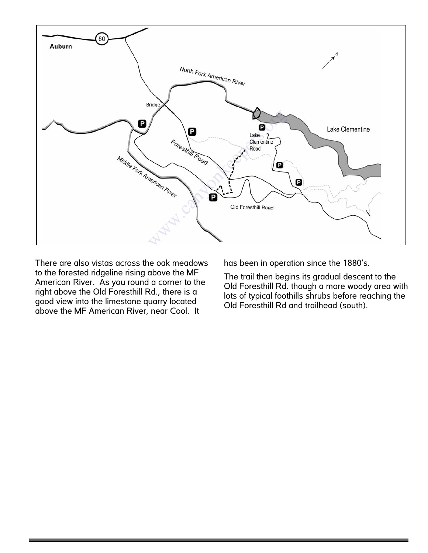

There are also vistas across the oak meadows to the forested ridgeline rising above the MF American River. As you round a corner to the right above the Old Foresthill Rd., there is a good view into the limestone quarry located above the MF American River, near Cool. It

has been in operation since the 1880's.

The trail then begins its gradual descent to the Old Foresthill Rd. though a more woody area with lots of typical foothills shrubs before reaching the Old Foresthill Rd and trailhead (south).